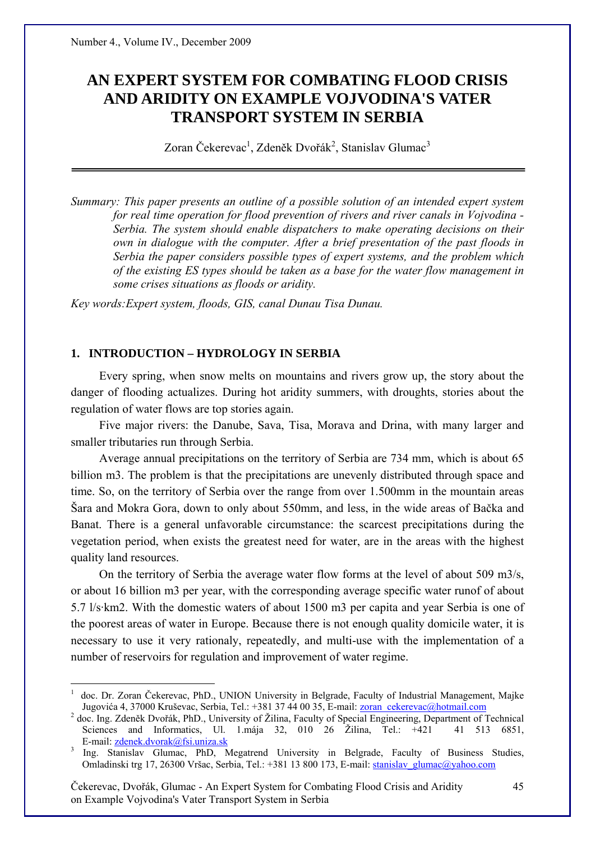# **AN EXPERT SYSTEM FOR COMBATING FLOOD CRISIS AND ARIDITY ON EXAMPLE VOJVODINA'S VATER TRANSPORT SYSTEM IN SERBIA**

Zoran Čekerevac<sup>1</sup>, Zdeněk Dvořák<sup>2</sup>, Stanislav Glumac<sup>3</sup>

*Summary: This paper presents an outline of a possible solution of an intended expert system for real time operation for flood prevention of rivers and river canals in Vojvodina - Serbia. The system should enable dispatchers to make operating decisions on their own in dialogue with the computer. After a brief presentation of the past floods in Serbia the paper considers possible types of expert systems, and the problem which of the existing ES types should be taken as a base for the water flow management in some crises situations as floods or aridity.* 

*Key words:Expert system, floods, GIS, canal Dunau Tisa Dunau.* 

## **1. INTRODUCTION – HYDROLOGY IN SERBIA**

 $\overline{a}$ 

Every spring, when snow melts on mountains and rivers grow up, the story about the danger of flooding actualizes. During hot aridity summers, with droughts, stories about the regulation of water flows are top stories again.

Five major rivers: the Danube, Sava, Tisa, Morava and Drina, with many larger and smaller tributaries run through Serbia.

Average annual precipitations on the territory of Serbia are 734 mm, which is about 65 billion m3. The problem is that the precipitations are unevenly distributed through space and time. So, on the territory of Serbia over the range from over 1.500mm in the mountain areas Šara and Mokra Gora, down to only about 550mm, and less, in the wide areas of Bačka and Banat. There is a general unfavorable circumstance: the scarcest precipitations during the vegetation period, when exists the greatest need for water, are in the areas with the highest quality land resources.

On the territory of Serbia the average water flow forms at the level of about 509 m3/s, or about 16 billion m3 per year, with the corresponding average specific water runof of about 5.7 l/s·km2. With the domestic waters of about 1500 m3 per capita and year Serbia is one of the poorest areas of water in Europe. Because there is not enough quality domicile water, it is necessary to use it very rationaly, repeatedly, and multi-use with the implementation of a number of reservoirs for regulation and improvement of water regime.

<sup>1</sup> doc. Dr. Zoran Čekerevac, PhD., UNION University in Belgrade, Faculty of Industrial Management, Majke Jugovića 4, 37000 Kruševac, Serbia, Tel.: +381 37 44 00 35, E-mail: zoran\_cekerevac@hotmail.com

<sup>&</sup>lt;sup>2</sup> doc. Ing. Zdeněk Dvořák, PhD., University of Žilina, Faculty of Special Engineering, Department of Technical Sciences and Informatics, Ul. 1.mája 32, 010 26 Žilina, Tel.: +421 41 513 6851, E-mail: zdenek.dvorak@fsi.uniza.sk <sup>3</sup>

Ing. Stanislav Glumac, PhD, Megatrend University in Belgrade, Faculty of Business Studies, Omladinski trg 17, 26300 Vršac, Serbia, Tel.: +381 13 800 173, E-mail: stanislav\_glumac@yahoo.com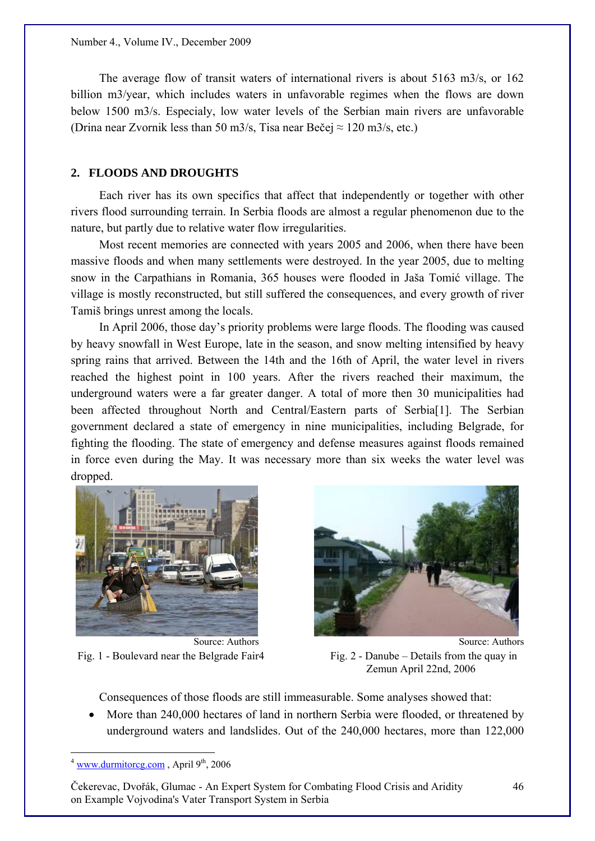The average flow of transit waters of international rivers is about 5163 m3/s, or 162 billion m3/year, which includes waters in unfavorable regimes when the flows are down below 1500 m3/s. Especialy, low water levels of the Serbian main rivers are unfavorable (Drina near Zvornik less than 50 m3/s, Tisa near Bečej  $\approx$  120 m3/s, etc.)

## **2. FLOODS AND DROUGHTS**

Each river has its own specifics that affect that independently or together with other rivers flood surrounding terrain. In Serbia floods are almost a regular phenomenon due to the nature, but partly due to relative water flow irregularities.

Most recent memories are connected with years 2005 and 2006, when there have been massive floods and when many settlements were destroyed. In the year 2005, due to melting snow in the Carpathians in Romania, 365 houses were flooded in Jaša Tomić village. The village is mostly reconstructed, but still suffered the consequences, and every growth of river Tamiš brings unrest among the locals.

In April 2006, those day's priority problems were large floods. The flooding was caused by heavy snowfall in West Europe, late in the season, and snow melting intensified by heavy spring rains that arrived. Between the 14th and the 16th of April, the water level in rivers reached the highest point in 100 years. After the rivers reached their maximum, the underground waters were a far greater danger. A total of more then 30 municipalities had been affected throughout North and Central/Eastern parts of Serbia<sup>[1]</sup>. The Serbian government declared a state of emergency in nine municipalities, including Belgrade, for fighting the flooding. The state of emergency and defense measures against floods remained in force even during the May. It was necessary more than six weeks the water level was dropped.





Fig. 1 - Boulevard near the Belgrade Fair 4 Fig. 2 - Danube – Details from the quay in Zemun April 22nd, 2006

Consequences of those floods are still immeasurable. Some analyses showed that:

• More than 240,000 hectares of land in northern Serbia were flooded, or threatened by underground waters and landslides. Out of the 240,000 hectares, more than 122,000

 $\overline{a}$ 

Čekerevac, Dvořák, Glumac - An Expert System for Combating Flood Crisis and Aridity on Example Vojvodina's Vater Transport System in Serbia

 $4 \frac{\text{www.durmitoreg.com}}{9^{th}}$ , April 9<sup>th</sup>, 2006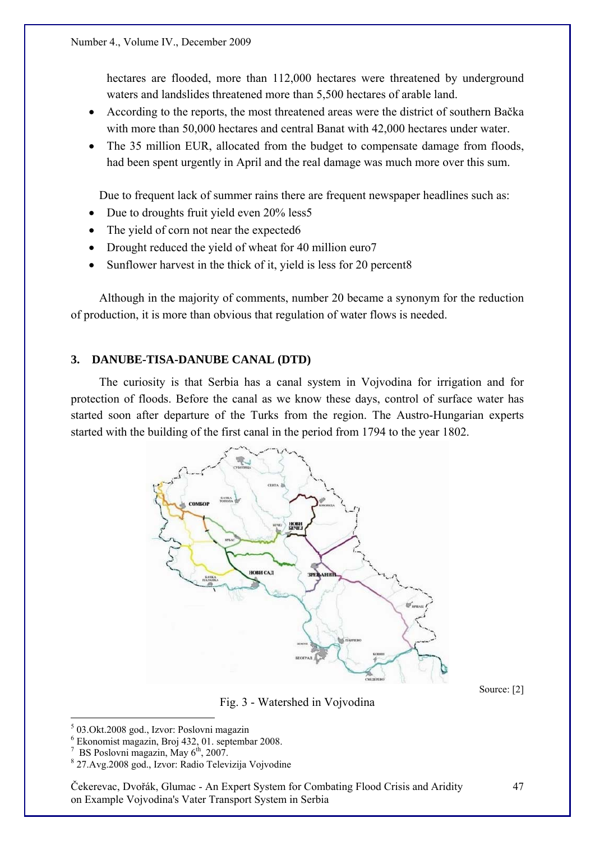hectares are flooded, more than 112,000 hectares were threatened by underground waters and landslides threatened more than 5,500 hectares of arable land.

- According to the reports, the most threatened areas were the district of southern Bačka with more than 50,000 hectares and central Banat with 42,000 hectares under water.
- The 35 million EUR, allocated from the budget to compensate damage from floods, had been spent urgently in April and the real damage was much more over this sum.

Due to frequent lack of summer rains there are frequent newspaper headlines such as:

- Due to droughts fruit yield even 20% less5
- The yield of corn not near the expected 6
- Drought reduced the yield of wheat for 40 million euro7
- Sunflower harvest in the thick of it, yield is less for 20 percent8

Although in the majority of comments, number 20 became a synonym for the reduction of production, it is more than obvious that regulation of water flows is needed.

# **3. DANUBE-TISA-DANUBE CANAL (DTD)**

The curiosity is that Serbia has a canal system in Vojvodina for irrigation and for protection of floods. Before the canal as we know these days, control of surface water has started soon after departure of the Turks from the region. The Austro-Hungarian experts started with the building of the first canal in the period from 1794 to the year 1802.



Source: [2]

Fig. 3 - Watershed in Vojvodina

 $\overline{a}$ 

Čekerevac, Dvořák, Glumac - An Expert System for Combating Flood Crisis and Aridity on Example Vojvodina's Vater Transport System in Serbia

<sup>5</sup> 03.Okt.2008 god., Izvor: Poslovni magazin

<sup>6</sup> Ekonomist magazin, Broj 432, 01. septembar 2008.

<sup>7</sup> BS Poslovni magazin, May 6<sup>th</sup>, 2007.

 <sup>27.</sup>Avg.2008 god., Izvor: Radio Televizija Vojvodine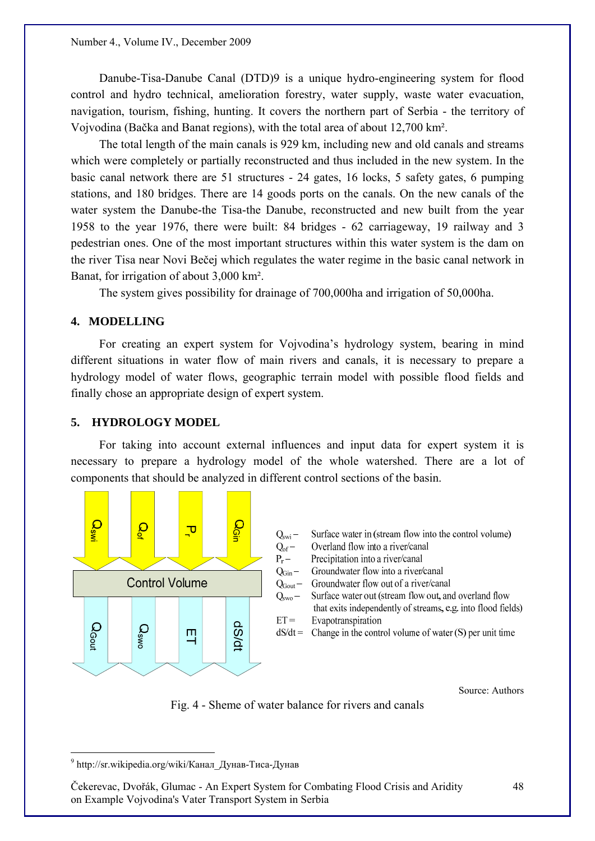Danube-Tisa-Danube Canal (DTD)9 is a unique hydro-engineering system for flood control and hydro technical, amelioration forestry, water supply, waste water evacuation, navigation, tourism, fishing, hunting. It covers the northern part of Serbia - the territory of Vojvodina (Bačka and Banat regions), with the total area of about 12,700 km².

The total length of the main canals is 929 km, including new and old canals and streams which were completely or partially reconstructed and thus included in the new system. In the basic canal network there are 51 structures - 24 gates, 16 locks, 5 safety gates, 6 pumping stations, and 180 bridges. There are 14 goods ports on the canals. On the new canals of the water system the Danube-the Tisa-the Danube, reconstructed and new built from the year 1958 to the year 1976, there were built: 84 bridges - 62 carriageway, 19 railway and 3 pedestrian ones. One of the most important structures within this water system is the dam on the river Tisa near Novi Bečej which regulates the water regime in the basic canal network in Banat, for irrigation of about 3,000 km².

The system gives possibility for drainage of 700,000ha and irrigation of 50,000ha.

# **4. MODELLING**

For creating an expert system for Vojvodina's hydrology system, bearing in mind different situations in water flow of main rivers and canals, it is necessary to prepare a hydrology model of water flows, geographic terrain model with possible flood fields and finally chose an appropriate design of expert system.

#### **5. HYDROLOGY MODEL**

For taking into account external influences and input data for expert system it is necessary to prepare a hydrology model of the whole watershed. There are a lot of components that should be analyzed in different control sections of the basin.



Source: Authors

Fig. 4 - Sheme of water balance for rivers and canals

 $\overline{a}$ 

<sup>9</sup> http://sr.wikipedia.org/wiki/Канал\_Дунав-Тиса-Дунав

Čekerevac, Dvořák, Glumac - An Expert System for Combating Flood Crisis and Aridity on Example Vojvodina's Vater Transport System in Serbia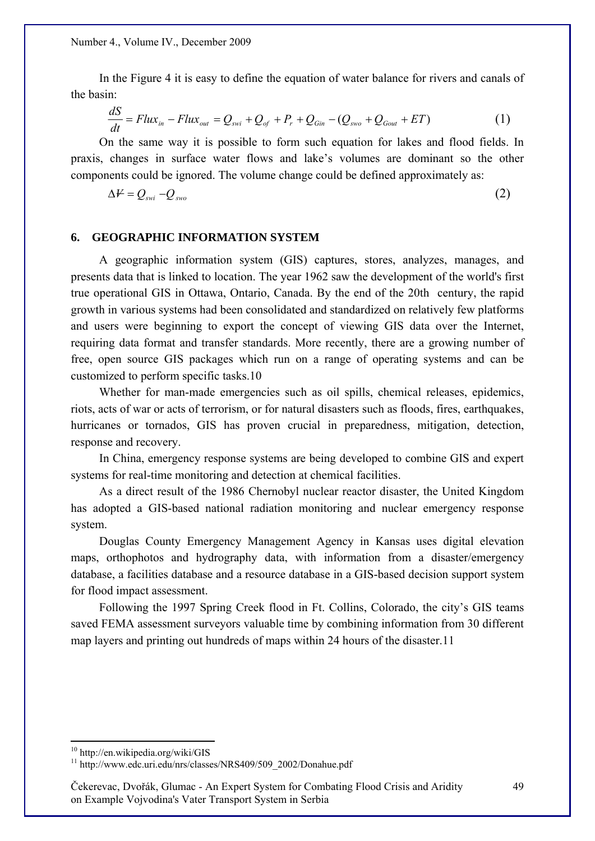Number 4., Volume IV., December 2009

In the Figure 4 it is easy to define the equation of water balance for rivers and canals of the basin:

$$
\frac{dS}{dt} = Flux_{in} - Flux_{out} = Q_{swi} + Q_{of} + P_r + Q_{Gin} - (Q_{swo} + Q_{Gout} + ET)
$$
(1)

On the same way it is possible to form such equation for lakes and flood fields. In praxis, changes in surface water flows and lake's volumes are dominant so the other components could be ignored. The volume change could be defined approximately as:

$$
\Delta V = Q_{swi} - Q_{swo} \tag{2}
$$

#### **6. GEOGRAPHIC INFORMATION SYSTEM**

A geographic information system (GIS) captures, stores, analyzes, manages, and presents data that is linked to location. The year 1962 saw the development of the world's first true operational GIS in Ottawa, Ontario, Canada. By the end of the 20th century, the rapid growth in various systems had been consolidated and standardized on relatively few platforms and users were beginning to export the concept of viewing GIS data over the Internet, requiring data format and transfer standards. More recently, there are a growing number of free, open source GIS packages which run on a range of operating systems and can be customized to perform specific tasks.10

Whether for man-made emergencies such as oil spills, chemical releases, epidemics, riots, acts of war or acts of terrorism, or for natural disasters such as floods, fires, earthquakes, hurricanes or tornados, GIS has proven crucial in preparedness, mitigation, detection, response and recovery.

In China, emergency response systems are being developed to combine GIS and expert systems for real-time monitoring and detection at chemical facilities.

As a direct result of the 1986 Chernobyl nuclear reactor disaster, the United Kingdom has adopted a GIS-based national radiation monitoring and nuclear emergency response system.

Douglas County Emergency Management Agency in Kansas uses digital elevation maps, orthophotos and hydrography data, with information from a disaster/emergency database, a facilities database and a resource database in a GIS-based decision support system for flood impact assessment.

Following the 1997 Spring Creek flood in Ft. Collins, Colorado, the city's GIS teams saved FEMA assessment surveyors valuable time by combining information from 30 different map layers and printing out hundreds of maps within 24 hours of the disaster.11

 $\overline{a}$ 

<sup>10</sup> http://en.wikipedia.org/wiki/GIS

<sup>&</sup>lt;sup>11</sup> http://www.edc.uri.edu/nrs/classes/NRS409/509\_2002/Donahue.pdf

Čekerevac, Dvořák, Glumac - An Expert System for Combating Flood Crisis and Aridity on Example Vojvodina's Vater Transport System in Serbia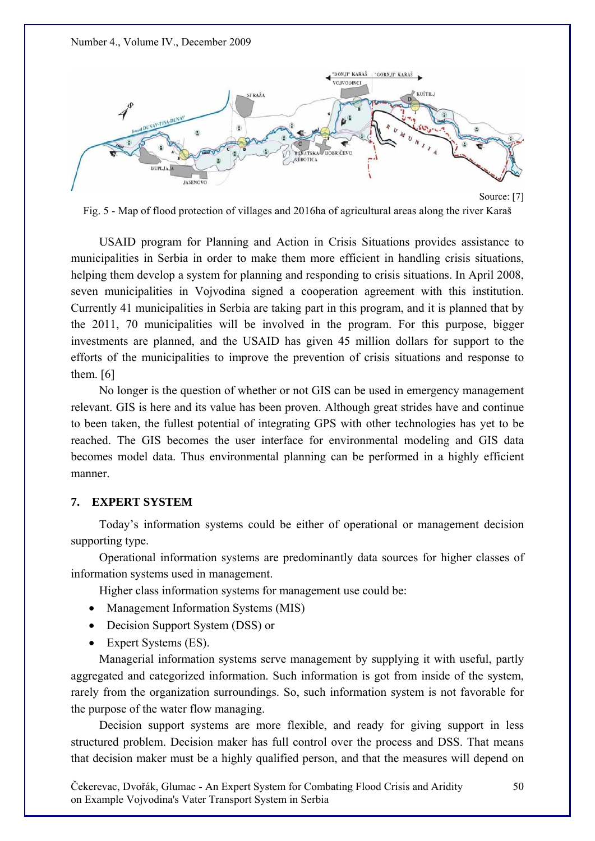



Fig. 5 - Map of flood protection of villages and 2016ha of agricultural areas along the river Karaš

USAID program for Planning and Action in Crisis Situations provides assistance to municipalities in Serbia in order to make them more efficient in handling crisis situations, helping them develop a system for planning and responding to crisis situations. In April 2008, seven municipalities in Vojvodina signed a cooperation agreement with this institution. Currently 41 municipalities in Serbia are taking part in this program, and it is planned that by the 2011, 70 municipalities will be involved in the program. For this purpose, bigger investments are planned, and the USAID has given 45 million dollars for support to the efforts of the municipalities to improve the prevention of crisis situations and response to them. [6]

No longer is the question of whether or not GIS can be used in emergency management relevant. GIS is here and its value has been proven. Although great strides have and continue to been taken, the fullest potential of integrating GPS with other technologies has yet to be reached. The GIS becomes the user interface for environmental modeling and GIS data becomes model data. Thus environmental planning can be performed in a highly efficient manner.

# **7. EXPERT SYSTEM**

Today's information systems could be either of operational or management decision supporting type.

Operational information systems are predominantly data sources for higher classes of information systems used in management.

Higher class information systems for management use could be:

- Management Information Systems (MIS)
- Decision Support System (DSS) or
- Expert Systems (ES).

Managerial information systems serve management by supplying it with useful, partly aggregated and categorized information. Such information is got from inside of the system, rarely from the organization surroundings. So, such information system is not favorable for the purpose of the water flow managing.

Decision support systems are more flexible, and ready for giving support in less structured problem. Decision maker has full control over the process and DSS. That means that decision maker must be a highly qualified person, and that the measures will depend on

Čekerevac, Dvořák, Glumac - An Expert System for Combating Flood Crisis and Aridity on Example Vojvodina's Vater Transport System in Serbia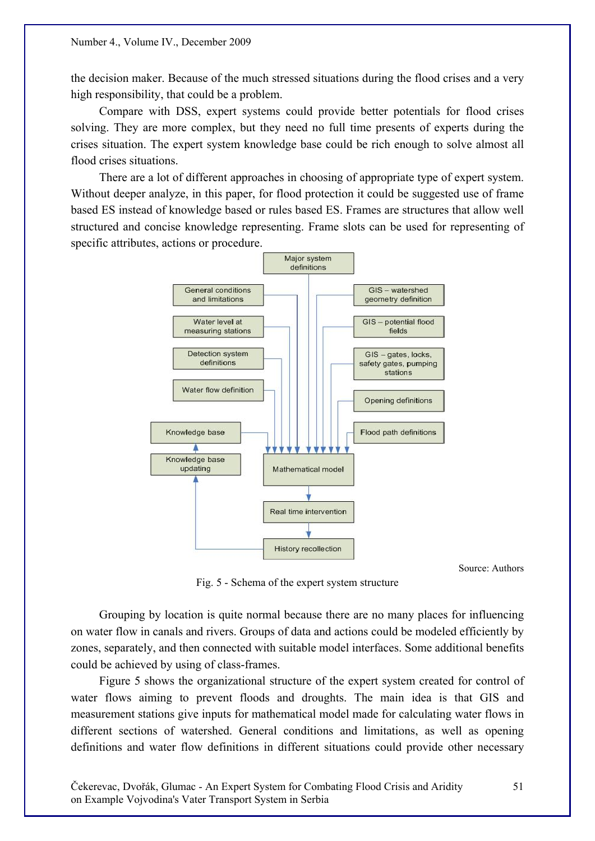the decision maker. Because of the much stressed situations during the flood crises and a very high responsibility, that could be a problem.

Compare with DSS, expert systems could provide better potentials for flood crises solving. They are more complex, but they need no full time presents of experts during the crises situation. The expert system knowledge base could be rich enough to solve almost all flood crises situations.

There are a lot of different approaches in choosing of appropriate type of expert system. Without deeper analyze, in this paper, for flood protection it could be suggested use of frame based ES instead of knowledge based or rules based ES. Frames are structures that allow well structured and concise knowledge representing. Frame slots can be used for representing of specific attributes, actions or procedure.



Source: Authors

Fig. 5 - Schema of the expert system structure

Grouping by location is quite normal because there are no many places for influencing on water flow in canals and rivers. Groups of data and actions could be modeled efficiently by zones, separately, and then connected with suitable model interfaces. Some additional benefits could be achieved by using of class-frames.

Figure 5 shows the organizational structure of the expert system created for control of water flows aiming to prevent floods and droughts. The main idea is that GIS and measurement stations give inputs for mathematical model made for calculating water flows in different sections of watershed. General conditions and limitations, as well as opening definitions and water flow definitions in different situations could provide other necessary